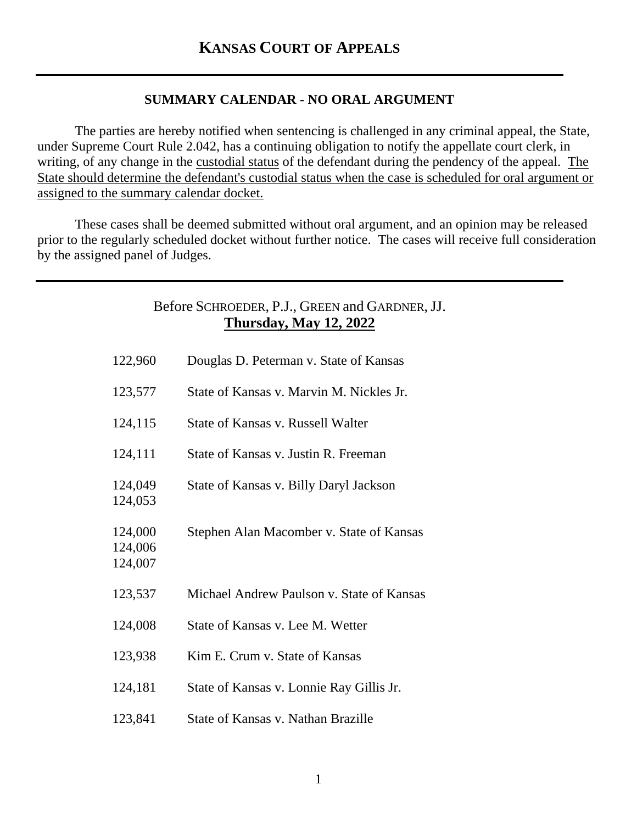## **SUMMARY CALENDAR - NO ORAL ARGUMENT**

The parties are hereby notified when sentencing is challenged in any criminal appeal, the State, under Supreme Court Rule 2.042, has a continuing obligation to notify the appellate court clerk, in writing, of any change in the custodial status of the defendant during the pendency of the appeal. The State should determine the defendant's custodial status when the case is scheduled for oral argument or assigned to the summary calendar docket.

These cases shall be deemed submitted without oral argument, and an opinion may be released prior to the regularly scheduled docket without further notice. The cases will receive full consideration by the assigned panel of Judges.

## Before SCHROEDER, P.J., GREEN and GARDNER, JJ. **Thursday, May 12, 2022**

| 122,960                       | Douglas D. Peterman v. State of Kansas    |
|-------------------------------|-------------------------------------------|
| 123,577                       | State of Kansas v. Marvin M. Nickles Jr.  |
| 124,115                       | State of Kansas v. Russell Walter         |
| 124,111                       | State of Kansas v. Justin R. Freeman      |
| 124,049<br>124,053            | State of Kansas v. Billy Daryl Jackson    |
| 124,000<br>124,006<br>124,007 | Stephen Alan Macomber v. State of Kansas  |
| 123,537                       | Michael Andrew Paulson v. State of Kansas |
| 124,008                       | State of Kansas v. Lee M. Wetter          |
| 123,938                       | Kim E. Crum v. State of Kansas            |
| 124,181                       | State of Kansas v. Lonnie Ray Gillis Jr.  |
| 123,841                       | State of Kansas v. Nathan Brazille        |